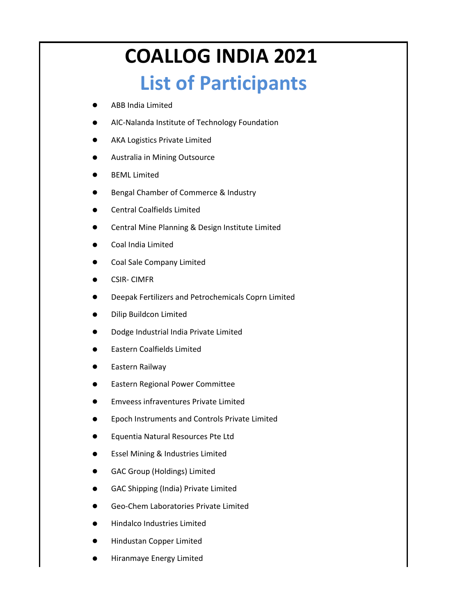## **COALLOG INDIA 2021 List of Participants**

- ABB India Limited
- AIC-Nalanda Institute of Technology Foundation
- AKA Logistics Private Limited
- Australia in Mining Outsource
- **BEML Limited**
- Bengal Chamber of Commerce & Industry
- Central Coalfields Limited
- Central Mine Planning & Design Institute Limited
- Coal India Limited
- Coal Sale Company Limited
- CSIR- CIMFR
- Deepak Fertilizers and Petrochemicals Coprn Limited
- Dilip Buildcon Limited
- Dodge Industrial India Private Limited
- Eastern Coalfields Limited
- Eastern Railway
- Eastern Regional Power Committee
- Emveess infraventures Private Limited
- Epoch Instruments and Controls Private Limited
- Equentia Natural Resources Pte Ltd
- Essel Mining & Industries Limited
- GAC Group (Holdings) Limited
- GAC Shipping (India) Private Limited
- Geo-Chem Laboratories Private Limited
- Hindalco Industries Limited
- Hindustan Copper Limited
- Hiranmaye Energy Limited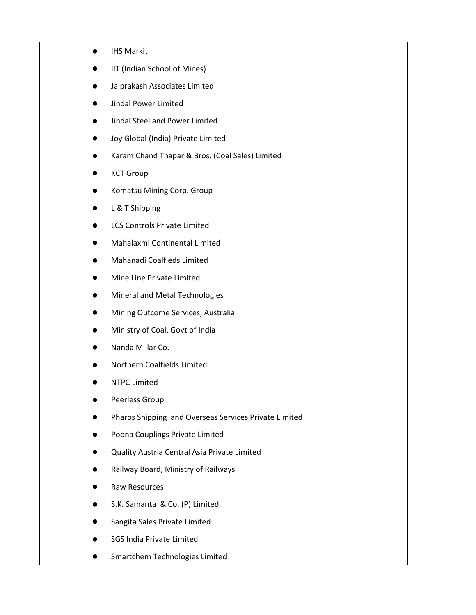- **IHS Markit**
- IIT (Indian School of Mines)
- Jaiprakash Associates Limited
- Jindal Power Limited
- Jindal Steel and Power Limited
- Joy Global (India) Private Limited
- Karam Chand Thapar & Bros. (Coal Sales) Limited
- **KCT Group**
- Komatsu Mining Corp. Group
- L & T Shipping
- LCS Controls Private Limited
- Mahalaxmi Continental Limited
- Mahanadi Coalfieds Limited
- Mine Line Private Limited
- **Mineral and Metal Technologies**
- Mining Outcome Services, Australia
- Ministry of Coal, Govt of India
- Nanda Millar Co.
- Northern Coalfields Limited
- NTPC Limited
- Peerless Group
- Pharos Shipping and Overseas Services Private Limited
- Poona Couplings Private Limited
- Quality Austria Central Asia Private Limited
- Railway Board, Ministry of Railways
- Raw Resources
- S.K. Samanta & Co. (P) Limited
- Sangita Sales Private Limited
- SGS India Private Limited
- Smartchem Technologies Limited